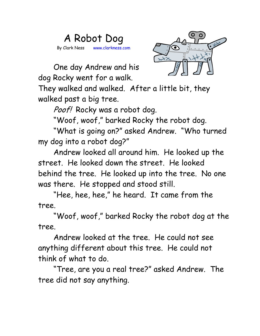## A Robot Dog By Clark Ness www.clarkness.com



One day Andrew and his dog Rocky went for a walk.

They walked and walked. After a little bit, they walked past a big tree.

Poof! Rocky was a robot dog.

"Woof, woof," barked Rocky the robot dog.

"What is going on?" asked Andrew. "Who turned my dog into a robot dog?"

Andrew looked all around him. He looked up the street. He looked down the street. He looked behind the tree. He looked up into the tree. No one was there. He stopped and stood still.

"Hee, hee, hee," he heard. It came from the tree.

"Woof, woof," barked Rocky the robot dog at the tree.

Andrew looked at the tree. He could not see anything different about this tree. He could not think of what to do.

"Tree, are you a real tree?" asked Andrew. The tree did not say anything.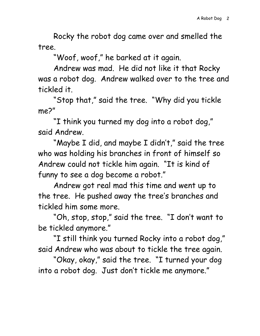Rocky the robot dog came over and smelled the tree.

"Woof, woof," he barked at it again.

Andrew was mad. He did not like it that Rocky was a robot dog. Andrew walked over to the tree and tickled it.

"Stop that," said the tree. "Why did you tickle me?"

"I think you turned my dog into a robot dog," said Andrew.

"Maybe I did, and maybe I didn't," said the tree who was holding his branches in front of himself so Andrew could not tickle him again. "It is kind of funny to see a dog become a robot."

Andrew got real mad this time and went up to the tree. He pushed away the tree's branches and tickled him some more.

"Oh, stop, stop," said the tree. "I don't want to be tickled anymore."

"I still think you turned Rocky into a robot dog," said Andrew who was about to tickle the tree again.

"Okay, okay," said the tree. "I turned your dog into a robot dog. Just don't tickle me anymore."